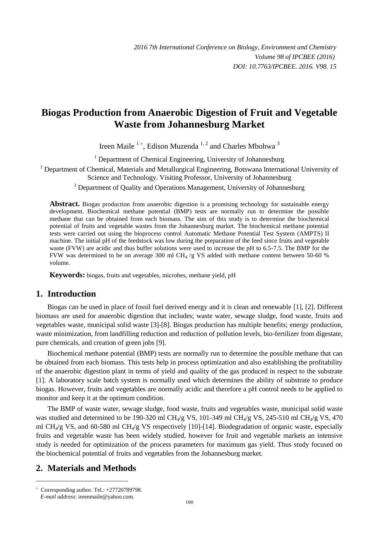# **Biogas Production from Anaerobic Digestion of Fruit and Vegetable Waste from Johannesburg Market**

Ireen Maile  $1^+$ , Edison Muzenda  $1, 2$  and Charles Mbohwa  $3$ 

<sup>1</sup> Department of Chemical Engineering, University of Johannesburg

<sup>2</sup> Department of Chemical, Materials and Metallurgical Engineering, Botswana International University of Science and Technology. Visiting Professor, University of Johannesburg

<sup>3</sup> Department of Quality and Operations Management, University of Johannesburg

**Abstract.** Biogas production from anaerobic digestion is a promising technology for sustainable energy development. Biochemical methane potential (BMP) tests are normally run to determine the possible methane that can be obtained from each biomass. The aim of this study is to determine the biochemical potential of fruits and vegetable wastes from the Johannesburg market. The biochemical methane potential tests were carried out using the bioprocess control Automatic Methane Potential Test System (AMPTS) II machine. The initial pH of the feedstock was low during the preparation of the feed since fruits and vegetable waste (FVW) are acidic and thus buffer solutions were used to increase the pH to 6.5-7.5. The BMP for the FVW was determined to be on average 300 ml CH<sub>4</sub> /g VS added with methane content between 50-60 % volume.

**Keywords:** biogas, fruits and vegetables, microbes, methane yield, pH

#### **1. Introduction**

Biogas can be used in place of fossil fuel derived energy and it is clean and renewable [1], [2]. Different biomass are used for anaerobic digestion that includes; waste water, sewage sludge, food waste, fruits and vegetables waste, municipal solid waste [3]-[8]. Biogas production has multiple benefits; energy production, waste minimization, from landfilling reduction and reduction of pollution levels, bio-fertilizer from digestate, pure chemicals, and creation of green jobs [\[9\]](#page-4-0).

Biochemical methane potential (BMP) tests are normally run to determine the possible methane that can be obtained from each biomass. This tests help in process optimization and also establishing the profitability of the anaerobic digestion plant in terms of yield and quality of the gas produced in respect to the substrate [\[1\]](#page-3-0). A laboratory scale batch system is normally used which determines the ability of substrate to produce biogas. However, fruits and vegetables are normally acidic and therefore a pH control needs to be applied to monitor and keep it at the optimum condition.

The BMP of waste water, sewage sludge, food waste, fruits and vegetables waste, municipal solid waste was studied and determined to be 190-320 ml CH<sub>4</sub>/g VS, 101-349 ml CH<sub>4</sub>/g VS, 245-510 ml CH<sub>4</sub>/g VS, 470 ml CH<sub>4</sub>/g VS, and 60-580 ml CH<sub>4</sub>/g VS respectively [10]-[14]. Biodegradation of organic waste, especially fruits and vegetable waste has been widely studied, however for fruit and vegetable markets an intensive study is needed for optimization of the process parameters for maximum gas yield. Thus study focused on the biochemical potential of fruits and vegetables from the Johannesburg market.

## **2. Materials and Methods**

1

 $+$  Corresponding author. Tel.:  $+27720789798$ . *E-mail address*: ireenmaile@yahoo.com.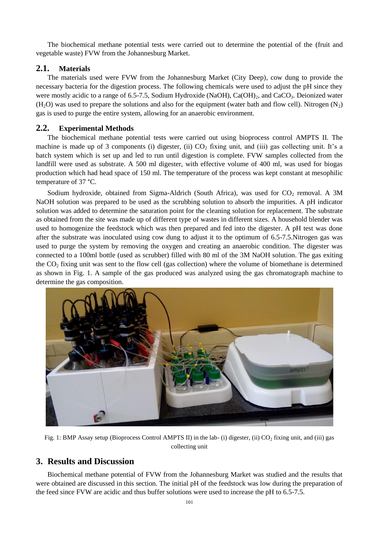The biochemical methane potential tests were carried out to determine the potential of the (fruit and vegetable waste) FVW from the Johannesburg Market.

#### **2.1. Materials**

The materials used were FVW from the Johannesburg Market (City Deep), cow dung to provide the necessary bacteria for the digestion process. The following chemicals were used to adjust the pH since they were mostly acidic to a range of 6.5-7.5, Sodium Hydroxide (NaOH), Ca(OH)<sub>2</sub>, and CaCO<sub>3</sub>. Deionized water  $(H<sub>2</sub>O)$  was used to prepare the solutions and also for the equipment (water bath and flow cell). Nitrogen (N<sub>2</sub>) gas is used to purge the entire system, allowing for an anaerobic environment.

#### **2.2. Experimental Methods**

The biochemical methane potential tests were carried out using bioprocess control AMPTS II. The machine is made up of 3 components (i) digester, (ii)  $CO<sub>2</sub>$  fixing unit, and (iii) gas collecting unit. It's a batch system which is set up and led to run until digestion is complete. FVW samples collected from the landfill were used as substrate. A 500 ml digester, with effective volume of 400 ml, was used for biogas production which had head space of 150 ml. The temperature of the process was kept constant at mesophilic temperature of 37 °C.

Sodium hydroxide, obtained from Sigma-Aldrich (South Africa), was used for  $CO_2$  removal. A 3M NaOH solution was prepared to be used as the scrubbing solution to absorb the impurities. A pH indicator solution was added to determine the saturation point for the cleaning solution for replacement. The substrate as obtained from the site was made up of different type of wastes in different sizes. A household blender was used to homogenize the feedstock which was then prepared and fed into the digester. A pH test was done after the substrate was inoculated using cow dung to adjust it to the optimum of 6.5-7.5.Nitrogen gas was used to purge the system by removing the oxygen and creating an anaerobic condition. The digester was connected to a 100ml bottle (used as scrubber) filled with 80 ml of the 3M NaOH solution. The gas exiting the  $CO<sub>2</sub>$  fixing unit was sent to the flow cell (gas collection) where the volume of biomethane is determined as shown in [Fig. 1.](#page-1-0) A sample of the gas produced was analyzed using the gas chromatograph machine to determine the gas composition.



Fig. 1: BMP Assay setup (Bioprocess Control AMPTS II) in the lab- (i) digester, (ii)  $CO_2$  fixing unit, and (iii) gas collecting unit

### <span id="page-1-0"></span>**3. Results and Discussion**

Biochemical methane potential of FVW from the Johannesburg Market was studied and the results that were obtained are discussed in this section. The initial pH of the feedstock was low during the preparation of the feed since FVW are acidic and thus buffer solutions were used to increase the pH to 6.5-7.5.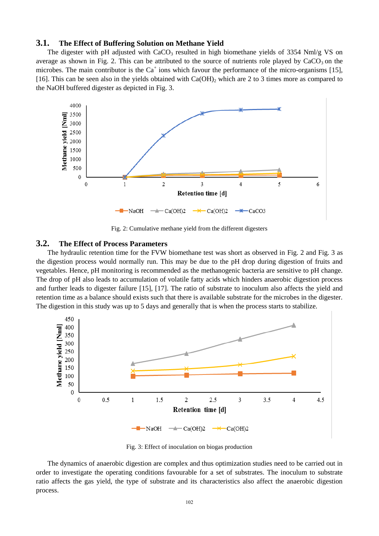#### **3.1. The Effect of Buffering Solution on Methane Yield**

The digester with pH adjusted with CaCO<sub>3</sub> resulted in high biomethane yields of 3354 Nml/g VS on average as shown in [Fig. 2.](#page-2-0) This can be attributed to the source of nutrients role played by  $CaCO<sub>3</sub>$  on the microbes. The main contributor is the  $Ca^+$  ions which favour the performance of the micro-organisms [15], [16]. This can be seen also in the yields obtained with  $Ca(OH)_2$  which are 2 to 3 times more as compared to the NaOH buffered digester as depicted in Fig. 3.



Fig. 2: Cumulative methane yield from the different digesters

#### <span id="page-2-0"></span>**3.2. The Effect of Process Parameters**

The hydraulic retention time for the FVW biomethane test was short as observed in Fig. 2 and Fig. 3 as the digestion process would normally run. This may be due to the pH drop during digestion of fruits and vegetables. Hence, pH monitoring is recommended as the methanogenic bacteria are sensitive to pH change. The drop of pH also leads to accumulation of volatile fatty acids which hinders anaerobic digestion process and further leads to digester failure [15], [17]. The ratio of substrate to inoculum also affects the yield and retention time as a balance should exists such that there is available substrate for the microbes in the digester. The digestion in this study was up to 5 days and generally that is when the process starts to stabilize.



Fig. 3: Effect of inoculation on biogas production

The dynamics of anaerobic digestion are complex and thus optimization studies need to be carried out in order to investigate the operating conditions favourable for a set of substrates. The inoculum to substrate ratio affects the gas yield, the type of substrate and its characteristics also affect the anaerobic digestion process.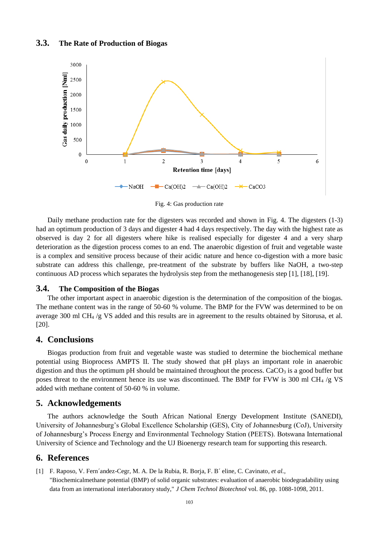#### **3.3. The Rate of Production of Biogas**



Fig. 4: Gas production rate

Daily methane production rate for the digesters was recorded and shown in Fig. 4. The digesters (1-3) had an optimum production of 3 days and digester 4 had 4 days respectively. The day with the highest rate as observed is day 2 for all digesters where hike is realised especially for digester 4 and a very sharp deterioration as the digestion process comes to an end. The anaerobic digestion of fruit and vegetable waste is a complex and sensitive process because of their acidic nature and hence co-digestion with a more basic substrate can address this challenge, pre-treatment of the substrate by buffers like NaOH, a two-step continuous AD process which separates the hydrolysis step from the methanogenesis step [1], [18], [19].

#### **3.4. The Composition of the Biogas**

The other important aspect in anaerobic digestion is the determination of the composition of the biogas. The methane content was in the range of 50-60 % volume. The BMP for the FVW was determined to be on average 300 ml CH<sub>4</sub> /g VS added and this results are in agreement to the results obtained by Sitorusa, et al. [\[20\]](#page-4-1).

#### **4. Conclusions**

Biogas production from fruit and vegetable waste was studied to determine the biochemical methane potential using Bioprocess AMPTS II. The study showed that pH plays an important role in anaerobic digestion and thus the optimum pH should be maintained throughout the process. CaCO<sub>3</sub> is a good buffer but poses threat to the environment hence its use was discontinued. The BMP for FVW is 300 ml CH $_4$  /g VS added with methane content of 50-60 % in volume.

### **5. Acknowledgements**

The authors acknowledge the South African National Energy Development Institute (SANEDI), University of Johannesburg's Global Excellence Scholarship (GES), City of Johannesburg (CoJ), University of Johannesburg's Process Energy and Environmental Technology Station (PEETS). Botswana International University of Science and Technology and the UJ Bioenergy research team for supporting this research.

#### **6. References**

<span id="page-3-0"></span>[1] F. Raposo, V. Fern´andez-Cegr, M. A. De la Rubia, R. Borja, F. B´ eline, C. Cavinato*, et al.*, "Biochemicalmethane potential (BMP) of solid organic substrates: evaluation of anaerobic biodegradability using data from an international interlaboratory study," *J Chem Technol Biotechnol* vol. 86, pp. 1088-1098, 2011.